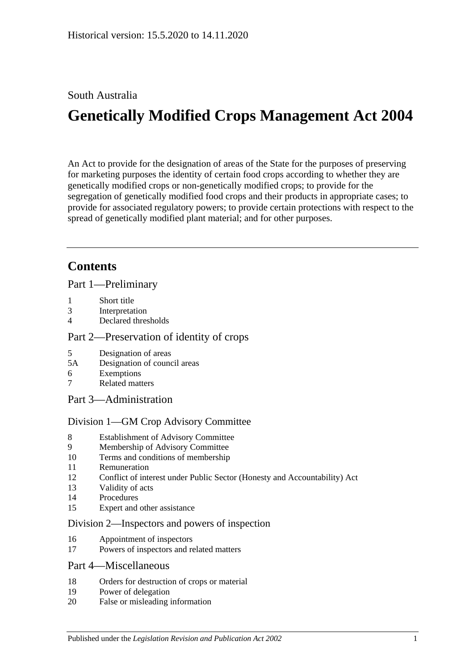# South Australia

# **Genetically Modified Crops Management Act 2004**

An Act to provide for the designation of areas of the State for the purposes of preserving for marketing purposes the identity of certain food crops according to whether they are genetically modified crops or non-genetically modified crops; to provide for the segregation of genetically modified food crops and their products in appropriate cases; to provide for associated regulatory powers; to provide certain protections with respect to the spread of genetically modified plant material; and for other purposes.

# **Contents**

[Part 1—Preliminary](#page-1-0)

- 1 [Short title](#page-1-1)
- 3 [Interpretation](#page-1-2)
- 4 [Declared thresholds](#page-3-0)

### [Part 2—Preservation of identity of crops](#page-3-1)

- 5 [Designation of areas](#page-3-2)
- 5A [Designation of council areas](#page-5-0)
- 6 [Exemptions](#page-6-0)
- 7 [Related matters](#page-6-1)
- [Part 3—Administration](#page-7-0)

### [Division 1—GM Crop Advisory Committee](#page-7-1)

- 8 [Establishment of Advisory Committee](#page-7-2)
- 9 [Membership of Advisory Committee](#page-7-3)
- 10 [Terms and conditions of membership](#page-8-0)
- 11 [Remuneration](#page-8-1)
- 12 [Conflict of interest under Public Sector \(Honesty and Accountability\) Act](#page-8-2)
- 13 [Validity of acts](#page-8-3)
- 14 [Procedures](#page-8-4)
- 15 [Expert and other assistance](#page-9-0)

### [Division 2—Inspectors and powers of inspection](#page-9-1)

- 16 [Appointment of inspectors](#page-9-2)
- 17 [Powers of inspectors and related matters](#page-10-0)

### [Part 4—Miscellaneous](#page-10-1)

- 18 [Orders for destruction of crops or material](#page-10-2)
- 19 [Power of delegation](#page-11-0)
- 20 [False or misleading information](#page-11-1)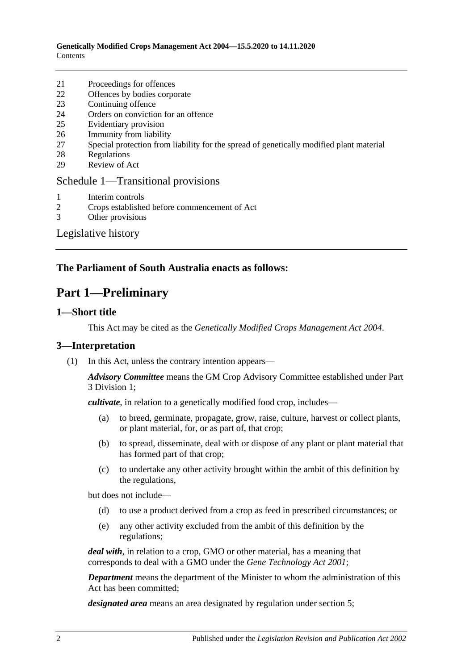**Genetically Modified Crops Management Act 2004—15.5.2020 to 14.11.2020** Contents

- 21 [Proceedings for offences](#page-11-2)
- 22 [Offences by bodies corporate](#page-11-3)
- 23 [Continuing offence](#page-12-0)
- 24 [Orders on conviction for an offence](#page-12-1)
- 25 [Evidentiary provision](#page-13-0)
- 26 [Immunity from liability](#page-13-1)
- 27 [Special protection from liability for the spread of genetically modified plant material](#page-13-2)
- 28 [Regulations](#page-14-0)
- 29 [Review of Act](#page-15-0)

#### [Schedule 1—Transitional provisions](#page-15-1)

- 1 [Interim controls](#page-15-2)
- 2 [Crops established before commencement of Act](#page-15-3)
- 3 [Other provisions](#page-16-0)

[Legislative history](#page-17-0)

### <span id="page-1-0"></span>**The Parliament of South Australia enacts as follows:**

# **Part 1—Preliminary**

### <span id="page-1-1"></span>**1—Short title**

This Act may be cited as the *Genetically Modified Crops Management Act 2004*.

#### <span id="page-1-2"></span>**3—Interpretation**

(1) In this Act, unless the contrary intention appears—

*Advisory Committee* means the GM Crop Advisory Committee established under [Part](#page-7-1)  [3 Division 1;](#page-7-1)

*cultivate*, in relation to a genetically modified food crop, includes—

- (a) to breed, germinate, propagate, grow, raise, culture, harvest or collect plants, or plant material, for, or as part of, that crop;
- (b) to spread, disseminate, deal with or dispose of any plant or plant material that has formed part of that crop;
- (c) to undertake any other activity brought within the ambit of this definition by the regulations,

but does not include—

- (d) to use a product derived from a crop as feed in prescribed circumstances; or
- (e) any other activity excluded from the ambit of this definition by the regulations;

*deal with*, in relation to a crop, GMO or other material, has a meaning that corresponds to deal with a GMO under the *[Gene Technology Act](http://www.legislation.sa.gov.au/index.aspx?action=legref&type=act&legtitle=Gene%20Technology%20Act%202001) 2001*;

*Department* means the department of the Minister to whom the administration of this Act has been committed;

*designated area* means an area designated by regulation under [section](#page-3-2) 5;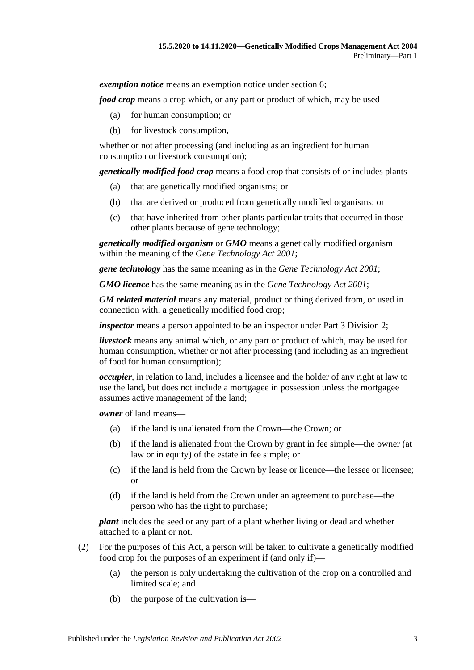*exemption notice* means an exemption notice under [section](#page-6-0) 6;

*food crop* means a crop which, or any part or product of which, may be used—

- (a) for human consumption; or
- (b) for livestock consumption,

whether or not after processing (and including as an ingredient for human consumption or livestock consumption);

*genetically modified food crop* means a food crop that consists of or includes plants—

- (a) that are genetically modified organisms; or
- (b) that are derived or produced from genetically modified organisms; or
- (c) that have inherited from other plants particular traits that occurred in those other plants because of gene technology;

*genetically modified organism* or *GMO* means a genetically modified organism within the meaning of the *[Gene Technology Act](http://www.legislation.sa.gov.au/index.aspx?action=legref&type=act&legtitle=Gene%20Technology%20Act%202001) 2001*;

*gene technology* has the same meaning as in the *[Gene Technology Act](http://www.legislation.sa.gov.au/index.aspx?action=legref&type=act&legtitle=Gene%20Technology%20Act%202001) 2001*;

*GMO licence* has the same meaning as in the *[Gene Technology Act](http://www.legislation.sa.gov.au/index.aspx?action=legref&type=act&legtitle=Gene%20Technology%20Act%202001) 2001*;

*GM related material* means any material, product or thing derived from, or used in connection with, a genetically modified food crop;

*inspector* means a person appointed to be an inspector under [Part 3 Division 2;](#page-9-1)

*livestock* means any animal which, or any part or product of which, may be used for human consumption, whether or not after processing (and including as an ingredient of food for human consumption);

*occupier*, in relation to land, includes a licensee and the holder of any right at law to use the land, but does not include a mortgagee in possession unless the mortgagee assumes active management of the land;

*owner* of land means—

- (a) if the land is unalienated from the Crown—the Crown; or
- (b) if the land is alienated from the Crown by grant in fee simple—the owner (at law or in equity) of the estate in fee simple; or
- (c) if the land is held from the Crown by lease or licence—the lessee or licensee; or
- (d) if the land is held from the Crown under an agreement to purchase—the person who has the right to purchase;

*plant* includes the seed or any part of a plant whether living or dead and whether attached to a plant or not.

- (2) For the purposes of this Act, a person will be taken to cultivate a genetically modified food crop for the purposes of an experiment if (and only if)—
	- (a) the person is only undertaking the cultivation of the crop on a controlled and limited scale; and
	- (b) the purpose of the cultivation is—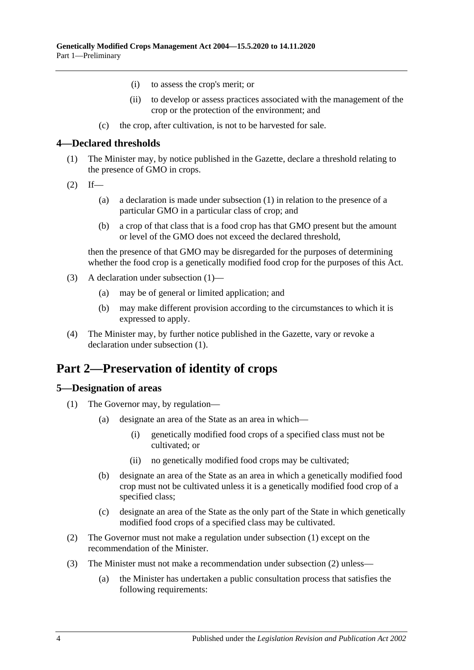- (i) to assess the crop's merit; or
- (ii) to develop or assess practices associated with the management of the crop or the protection of the environment; and
- (c) the crop, after cultivation, is not to be harvested for sale.

### <span id="page-3-3"></span><span id="page-3-0"></span>**4—Declared thresholds**

- (1) The Minister may, by notice published in the Gazette, declare a threshold relating to the presence of GMO in crops.
- $(2)$  If—
	- (a) a declaration is made under subsection (1) in relation to the presence of a particular GMO in a particular class of crop; and
	- (b) a crop of that class that is a food crop has that GMO present but the amount or level of the GMO does not exceed the declared threshold,

then the presence of that GMO may be disregarded for the purposes of determining whether the food crop is a genetically modified food crop for the purposes of this Act.

- (3) A declaration under [subsection](#page-3-3) (1)—
	- (a) may be of general or limited application; and
	- (b) may make different provision according to the circumstances to which it is expressed to apply.
- (4) The Minister may, by further notice published in the Gazette, vary or revoke a declaration under [subsection](#page-3-3) (1).

# <span id="page-3-1"></span>**Part 2—Preservation of identity of crops**

### <span id="page-3-4"></span><span id="page-3-2"></span>**5—Designation of areas**

- <span id="page-3-6"></span>(1) The Governor may, by regulation—
	- (a) designate an area of the State as an area in which—
		- (i) genetically modified food crops of a specified class must not be cultivated; or
		- (ii) no genetically modified food crops may be cultivated;
	- (b) designate an area of the State as an area in which a genetically modified food crop must not be cultivated unless it is a genetically modified food crop of a specified class;
	- (c) designate an area of the State as the only part of the State in which genetically modified food crops of a specified class may be cultivated.
- <span id="page-3-7"></span><span id="page-3-5"></span>(2) The Governor must not make a regulation under [subsection](#page-3-4) (1) except on the recommendation of the Minister.
- <span id="page-3-8"></span>(3) The Minister must not make a recommendation under [subsection](#page-3-5) (2) unless—
	- (a) the Minister has undertaken a public consultation process that satisfies the following requirements: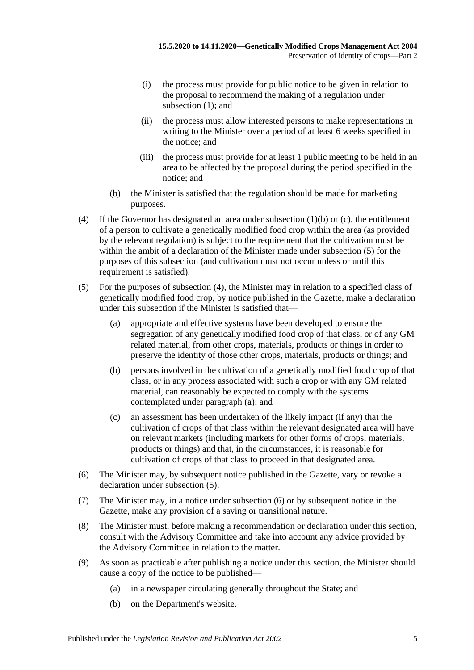- (i) the process must provide for public notice to be given in relation to the proposal to recommend the making of a regulation under [subsection](#page-3-4) (1); and
- (ii) the process must allow interested persons to make representations in writing to the Minister over a period of at least 6 weeks specified in the notice; and
- (iii) the process must provide for at least 1 public meeting to be held in an area to be affected by the proposal during the period specified in the notice; and
- (b) the Minister is satisfied that the regulation should be made for marketing purposes.
- <span id="page-4-1"></span>(4) If the Governor has designated an area under [subsection](#page-3-6) (1)(b) or [\(c\),](#page-3-7) the entitlement of a person to cultivate a genetically modified food crop within the area (as provided by the relevant regulation) is subject to the requirement that the cultivation must be within the ambit of a declaration of the Minister made under [subsection](#page-4-0) (5) for the purposes of this subsection (and cultivation must not occur unless or until this requirement is satisfied).
- <span id="page-4-2"></span><span id="page-4-0"></span>(5) For the purposes of [subsection](#page-4-1) (4), the Minister may in relation to a specified class of genetically modified food crop, by notice published in the Gazette, make a declaration under this subsection if the Minister is satisfied that—
	- (a) appropriate and effective systems have been developed to ensure the segregation of any genetically modified food crop of that class, or of any GM related material, from other crops, materials, products or things in order to preserve the identity of those other crops, materials, products or things; and
	- (b) persons involved in the cultivation of a genetically modified food crop of that class, or in any process associated with such a crop or with any GM related material, can reasonably be expected to comply with the systems contemplated under [paragraph](#page-4-2) (a); and
	- (c) an assessment has been undertaken of the likely impact (if any) that the cultivation of crops of that class within the relevant designated area will have on relevant markets (including markets for other forms of crops, materials, products or things) and that, in the circumstances, it is reasonable for cultivation of crops of that class to proceed in that designated area.
- <span id="page-4-3"></span>(6) The Minister may, by subsequent notice published in the Gazette, vary or revoke a declaration under [subsection](#page-4-0) (5).
- (7) The Minister may, in a notice under [subsection](#page-4-3) (6) or by subsequent notice in the Gazette, make any provision of a saving or transitional nature.
- (8) The Minister must, before making a recommendation or declaration under this section, consult with the Advisory Committee and take into account any advice provided by the Advisory Committee in relation to the matter.
- (9) As soon as practicable after publishing a notice under this section, the Minister should cause a copy of the notice to be published—
	- (a) in a newspaper circulating generally throughout the State; and
	- (b) on the Department's website.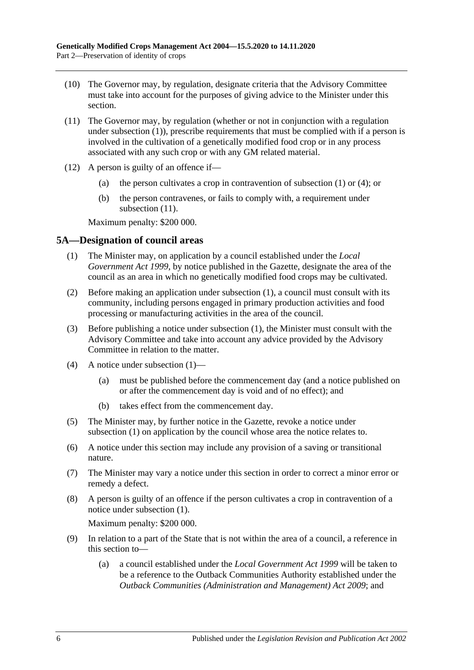- (10) The Governor may, by regulation, designate criteria that the Advisory Committee must take into account for the purposes of giving advice to the Minister under this section.
- <span id="page-5-1"></span>(11) The Governor may, by regulation (whether or not in conjunction with a regulation under [subsection](#page-3-4) (1)), prescribe requirements that must be complied with if a person is involved in the cultivation of a genetically modified food crop or in any process associated with any such crop or with any GM related material.
- (12) A person is guilty of an offence if—
	- (a) the person cultivates a crop in contravention of [subsection](#page-3-4) (1) or [\(4\);](#page-4-1) or
	- (b) the person contravenes, or fails to comply with, a requirement under [subsection](#page-5-1)  $(11)$ .

Maximum penalty: \$200 000.

### <span id="page-5-2"></span><span id="page-5-0"></span>**5A—Designation of council areas**

- (1) The Minister may, on application by a council established under the *[Local](http://www.legislation.sa.gov.au/index.aspx?action=legref&type=act&legtitle=Local%20Government%20Act%201999)  [Government Act](http://www.legislation.sa.gov.au/index.aspx?action=legref&type=act&legtitle=Local%20Government%20Act%201999) 1999*, by notice published in the Gazette, designate the area of the council as an area in which no genetically modified food crops may be cultivated.
- (2) Before making an application under [subsection](#page-5-2) (1), a council must consult with its community, including persons engaged in primary production activities and food processing or manufacturing activities in the area of the council.
- (3) Before publishing a notice under [subsection](#page-5-2) (1), the Minister must consult with the Advisory Committee and take into account any advice provided by the Advisory Committee in relation to the matter.
- (4) A notice under [subsection](#page-5-2) (1)—
	- (a) must be published before the commencement day (and a notice published on or after the commencement day is void and of no effect); and
	- (b) takes effect from the commencement day.
- (5) The Minister may, by further notice in the Gazette, revoke a notice under [subsection](#page-5-2) (1) on application by the council whose area the notice relates to.
- (6) A notice under this section may include any provision of a saving or transitional nature.
- (7) The Minister may vary a notice under this section in order to correct a minor error or remedy a defect.
- (8) A person is guilty of an offence if the person cultivates a crop in contravention of a notice under [subsection](#page-5-2) (1).

Maximum penalty: \$200 000.

- (9) In relation to a part of the State that is not within the area of a council, a reference in this section to—
	- (a) a council established under the *[Local Government Act](http://www.legislation.sa.gov.au/index.aspx?action=legref&type=act&legtitle=Local%20Government%20Act%201999) 1999* will be taken to be a reference to the Outback Communities Authority established under the *[Outback Communities \(Administration and Management\) Act](http://www.legislation.sa.gov.au/index.aspx?action=legref&type=act&legtitle=Outback%20Communities%20(Administration%20and%20Management)%20Act%202009) 2009*; and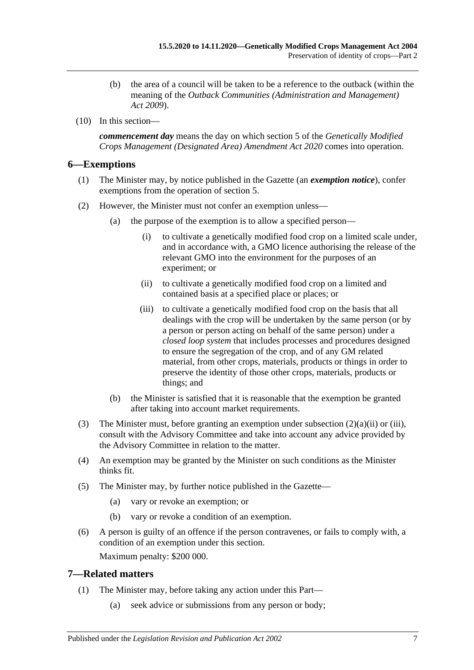- (b) the area of a council will be taken to be a reference to the outback (within the meaning of the *[Outback Communities \(Administration and Management\)](http://www.legislation.sa.gov.au/index.aspx?action=legref&type=act&legtitle=Outback%20Communities%20(Administration%20and%20Management)%20Act%202009)  Act [2009](http://www.legislation.sa.gov.au/index.aspx?action=legref&type=act&legtitle=Outback%20Communities%20(Administration%20and%20Management)%20Act%202009)*).
- (10) In this section—

*commencement day* means the day on which section 5 of the *[Genetically Modified](http://www.legislation.sa.gov.au/index.aspx?action=legref&type=act&legtitle=Genetically%20Modified%20Crops%20Management%20(Designated%20Area)%20Amendment%20Act%202020)  [Crops Management \(Designated Area\) Amendment Act](http://www.legislation.sa.gov.au/index.aspx?action=legref&type=act&legtitle=Genetically%20Modified%20Crops%20Management%20(Designated%20Area)%20Amendment%20Act%202020) 2020* comes into operation.

### <span id="page-6-0"></span>**6—Exemptions**

- (1) The Minister may, by notice published in the Gazette (an *exemption notice*), confer exemptions from the operation of [section](#page-3-2) 5.
- <span id="page-6-3"></span><span id="page-6-2"></span>(2) However, the Minister must not confer an exemption unless—
	- (a) the purpose of the exemption is to allow a specified person—
		- (i) to cultivate a genetically modified food crop on a limited scale under, and in accordance with, a GMO licence authorising the release of the relevant GMO into the environment for the purposes of an experiment; or
		- (ii) to cultivate a genetically modified food crop on a limited and contained basis at a specified place or places; or
		- (iii) to cultivate a genetically modified food crop on the basis that all dealings with the crop will be undertaken by the same person (or by a person or person acting on behalf of the same person) under a *closed loop system* that includes processes and procedures designed to ensure the segregation of the crop, and of any GM related material, from other crops, materials, products or things in order to preserve the identity of those other crops, materials, products or things; and
	- (b) the Minister is satisfied that it is reasonable that the exemption be granted after taking into account market requirements.
- (3) The Minister must, before granting an exemption under [subsection](#page-6-2) (2)(a)(ii) or [\(iii\),](#page-6-3) consult with the Advisory Committee and take into account any advice provided by the Advisory Committee in relation to the matter.
- (4) An exemption may be granted by the Minister on such conditions as the Minister thinks fit.
- (5) The Minister may, by further notice published in the Gazette—
	- (a) vary or revoke an exemption; or
	- (b) vary or revoke a condition of an exemption.
- (6) A person is guilty of an offence if the person contravenes, or fails to comply with, a condition of an exemption under this section. Maximum penalty: \$200 000.

## <span id="page-6-1"></span>**7—Related matters**

- (1) The Minister may, before taking any action under this Part—
	- (a) seek advice or submissions from any person or body;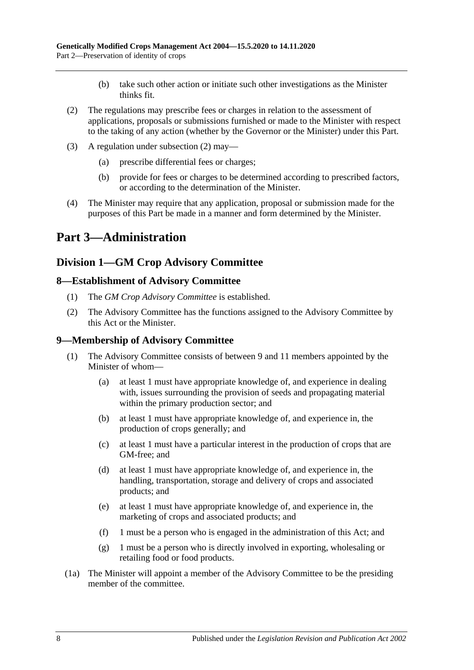- (b) take such other action or initiate such other investigations as the Minister thinks fit.
- <span id="page-7-4"></span>(2) The regulations may prescribe fees or charges in relation to the assessment of applications, proposals or submissions furnished or made to the Minister with respect to the taking of any action (whether by the Governor or the Minister) under this Part.
- (3) A regulation under [subsection](#page-7-4) (2) may—
	- (a) prescribe differential fees or charges;
	- (b) provide for fees or charges to be determined according to prescribed factors, or according to the determination of the Minister.
- (4) The Minister may require that any application, proposal or submission made for the purposes of this Part be made in a manner and form determined by the Minister.

# <span id="page-7-0"></span>**Part 3—Administration**

# <span id="page-7-1"></span>**Division 1—GM Crop Advisory Committee**

### <span id="page-7-2"></span>**8—Establishment of Advisory Committee**

- (1) The *GM Crop Advisory Committee* is established.
- (2) The Advisory Committee has the functions assigned to the Advisory Committee by this Act or the Minister.

### <span id="page-7-3"></span>**9—Membership of Advisory Committee**

- (1) The Advisory Committee consists of between 9 and 11 members appointed by the Minister of whom—
	- (a) at least 1 must have appropriate knowledge of, and experience in dealing with, issues surrounding the provision of seeds and propagating material within the primary production sector; and
	- (b) at least 1 must have appropriate knowledge of, and experience in, the production of crops generally; and
	- (c) at least 1 must have a particular interest in the production of crops that are GM-free; and
	- (d) at least 1 must have appropriate knowledge of, and experience in, the handling, transportation, storage and delivery of crops and associated products; and
	- (e) at least 1 must have appropriate knowledge of, and experience in, the marketing of crops and associated products; and
	- (f) 1 must be a person who is engaged in the administration of this Act; and
	- (g) 1 must be a person who is directly involved in exporting, wholesaling or retailing food or food products.
- (1a) The Minister will appoint a member of the Advisory Committee to be the presiding member of the committee.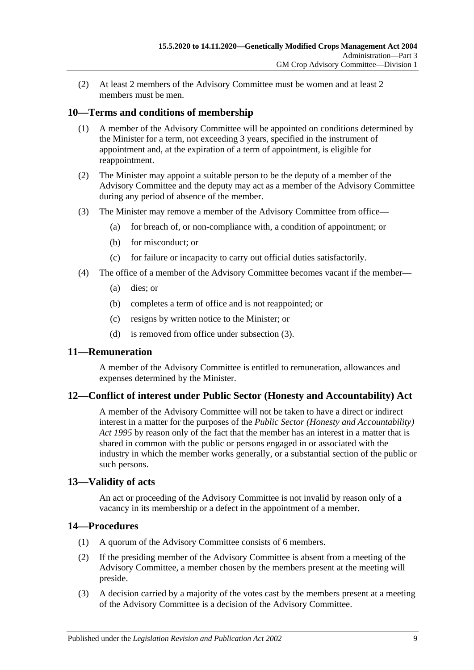(2) At least 2 members of the Advisory Committee must be women and at least 2 members must be men.

### <span id="page-8-0"></span>**10—Terms and conditions of membership**

- (1) A member of the Advisory Committee will be appointed on conditions determined by the Minister for a term, not exceeding 3 years, specified in the instrument of appointment and, at the expiration of a term of appointment, is eligible for reappointment.
- (2) The Minister may appoint a suitable person to be the deputy of a member of the Advisory Committee and the deputy may act as a member of the Advisory Committee during any period of absence of the member.
- <span id="page-8-5"></span>(3) The Minister may remove a member of the Advisory Committee from office—
	- (a) for breach of, or non-compliance with, a condition of appointment; or
	- (b) for misconduct; or
	- (c) for failure or incapacity to carry out official duties satisfactorily.
- (4) The office of a member of the Advisory Committee becomes vacant if the member—
	- (a) dies; or
	- (b) completes a term of office and is not reappointed; or
	- (c) resigns by written notice to the Minister; or
	- (d) is removed from office under [subsection](#page-8-5) (3).

### <span id="page-8-1"></span>**11—Remuneration**

A member of the Advisory Committee is entitled to remuneration, allowances and expenses determined by the Minister.

### <span id="page-8-2"></span>**12—Conflict of interest under Public Sector (Honesty and Accountability) Act**

A member of the Advisory Committee will not be taken to have a direct or indirect interest in a matter for the purposes of the *[Public Sector \(Honesty and Accountability\)](http://www.legislation.sa.gov.au/index.aspx?action=legref&type=act&legtitle=Public%20Sector%20(Honesty%20and%20Accountability)%20Act%201995)  Act [1995](http://www.legislation.sa.gov.au/index.aspx?action=legref&type=act&legtitle=Public%20Sector%20(Honesty%20and%20Accountability)%20Act%201995)* by reason only of the fact that the member has an interest in a matter that is shared in common with the public or persons engaged in or associated with the industry in which the member works generally, or a substantial section of the public or such persons.

### <span id="page-8-3"></span>**13—Validity of acts**

An act or proceeding of the Advisory Committee is not invalid by reason only of a vacancy in its membership or a defect in the appointment of a member.

### <span id="page-8-4"></span>**14—Procedures**

- (1) A quorum of the Advisory Committee consists of 6 members.
- (2) If the presiding member of the Advisory Committee is absent from a meeting of the Advisory Committee, a member chosen by the members present at the meeting will preside.
- (3) A decision carried by a majority of the votes cast by the members present at a meeting of the Advisory Committee is a decision of the Advisory Committee.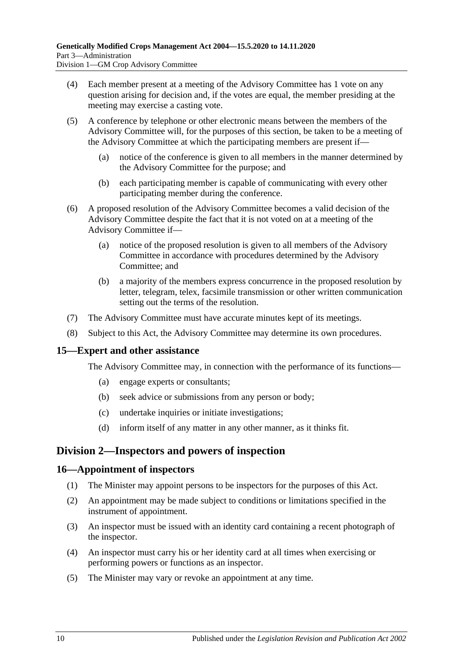- (4) Each member present at a meeting of the Advisory Committee has 1 vote on any question arising for decision and, if the votes are equal, the member presiding at the meeting may exercise a casting vote.
- (5) A conference by telephone or other electronic means between the members of the Advisory Committee will, for the purposes of this section, be taken to be a meeting of the Advisory Committee at which the participating members are present if—
	- (a) notice of the conference is given to all members in the manner determined by the Advisory Committee for the purpose; and
	- (b) each participating member is capable of communicating with every other participating member during the conference.
- (6) A proposed resolution of the Advisory Committee becomes a valid decision of the Advisory Committee despite the fact that it is not voted on at a meeting of the Advisory Committee if—
	- (a) notice of the proposed resolution is given to all members of the Advisory Committee in accordance with procedures determined by the Advisory Committee; and
	- (b) a majority of the members express concurrence in the proposed resolution by letter, telegram, telex, facsimile transmission or other written communication setting out the terms of the resolution.
- (7) The Advisory Committee must have accurate minutes kept of its meetings.
- (8) Subject to this Act, the Advisory Committee may determine its own procedures.

### <span id="page-9-0"></span>**15—Expert and other assistance**

The Advisory Committee may, in connection with the performance of its functions—

- (a) engage experts or consultants;
- (b) seek advice or submissions from any person or body;
- (c) undertake inquiries or initiate investigations;
- (d) inform itself of any matter in any other manner, as it thinks fit.

## <span id="page-9-1"></span>**Division 2—Inspectors and powers of inspection**

### <span id="page-9-2"></span>**16—Appointment of inspectors**

- (1) The Minister may appoint persons to be inspectors for the purposes of this Act.
- (2) An appointment may be made subject to conditions or limitations specified in the instrument of appointment.
- (3) An inspector must be issued with an identity card containing a recent photograph of the inspector.
- (4) An inspector must carry his or her identity card at all times when exercising or performing powers or functions as an inspector.
- (5) The Minister may vary or revoke an appointment at any time.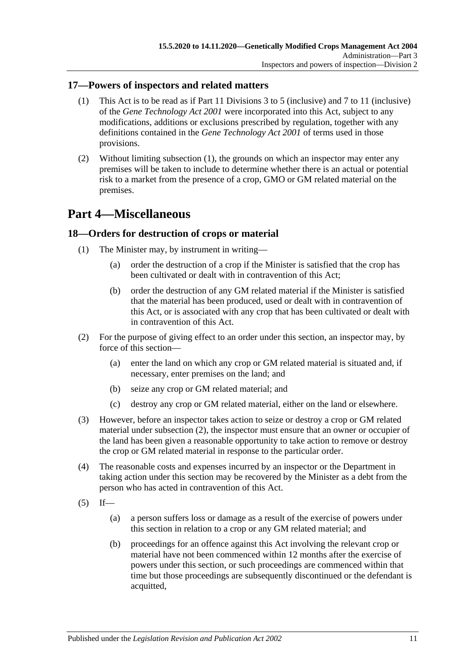### <span id="page-10-3"></span><span id="page-10-0"></span>**17—Powers of inspectors and related matters**

- (1) This Act is to be read as if Part 11 Divisions 3 to 5 (inclusive) and 7 to 11 (inclusive) of the *[Gene Technology Act](http://www.legislation.sa.gov.au/index.aspx?action=legref&type=act&legtitle=Gene%20Technology%20Act%202001) 2001* were incorporated into this Act, subject to any modifications, additions or exclusions prescribed by regulation, together with any definitions contained in the *[Gene Technology Act](http://www.legislation.sa.gov.au/index.aspx?action=legref&type=act&legtitle=Gene%20Technology%20Act%202001) 2001* of terms used in those provisions.
- (2) Without limiting [subsection](#page-10-3) (1), the grounds on which an inspector may enter any premises will be taken to include to determine whether there is an actual or potential risk to a market from the presence of a crop, GMO or GM related material on the premises.

# <span id="page-10-1"></span>**Part 4—Miscellaneous**

### <span id="page-10-2"></span>**18—Orders for destruction of crops or material**

- (1) The Minister may, by instrument in writing—
	- (a) order the destruction of a crop if the Minister is satisfied that the crop has been cultivated or dealt with in contravention of this Act;
	- (b) order the destruction of any GM related material if the Minister is satisfied that the material has been produced, used or dealt with in contravention of this Act, or is associated with any crop that has been cultivated or dealt with in contravention of this Act.
- <span id="page-10-4"></span>(2) For the purpose of giving effect to an order under this section, an inspector may, by force of this section—
	- (a) enter the land on which any crop or GM related material is situated and, if necessary, enter premises on the land; and
	- (b) seize any crop or GM related material; and
	- (c) destroy any crop or GM related material, either on the land or elsewhere.
- (3) However, before an inspector takes action to seize or destroy a crop or GM related material under [subsection](#page-10-4) (2), the inspector must ensure that an owner or occupier of the land has been given a reasonable opportunity to take action to remove or destroy the crop or GM related material in response to the particular order.
- (4) The reasonable costs and expenses incurred by an inspector or the Department in taking action under this section may be recovered by the Minister as a debt from the person who has acted in contravention of this Act.
- <span id="page-10-5"></span> $(5)$  If—
	- (a) a person suffers loss or damage as a result of the exercise of powers under this section in relation to a crop or any GM related material; and
	- (b) proceedings for an offence against this Act involving the relevant crop or material have not been commenced within 12 months after the exercise of powers under this section, or such proceedings are commenced within that time but those proceedings are subsequently discontinued or the defendant is acquitted,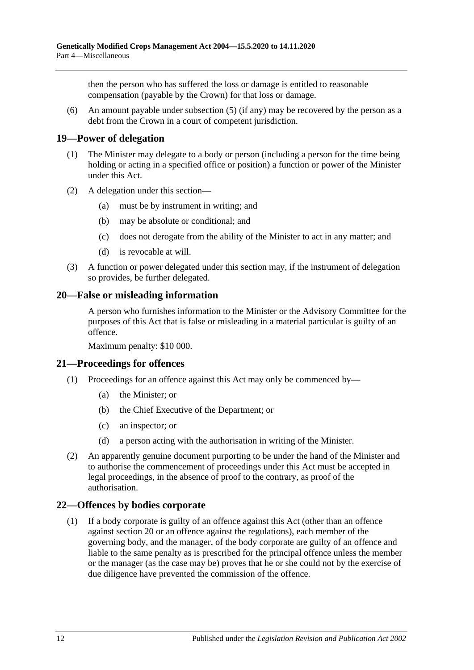then the person who has suffered the loss or damage is entitled to reasonable compensation (payable by the Crown) for that loss or damage.

(6) An amount payable under [subsection](#page-10-5) (5) (if any) may be recovered by the person as a debt from the Crown in a court of competent jurisdiction.

### <span id="page-11-0"></span>**19—Power of delegation**

- (1) The Minister may delegate to a body or person (including a person for the time being holding or acting in a specified office or position) a function or power of the Minister under this Act.
- (2) A delegation under this section—
	- (a) must be by instrument in writing; and
	- (b) may be absolute or conditional; and
	- (c) does not derogate from the ability of the Minister to act in any matter; and
	- (d) is revocable at will.
- (3) A function or power delegated under this section may, if the instrument of delegation so provides, be further delegated.

### <span id="page-11-1"></span>**20—False or misleading information**

A person who furnishes information to the Minister or the Advisory Committee for the purposes of this Act that is false or misleading in a material particular is guilty of an offence.

Maximum penalty: \$10 000.

### <span id="page-11-2"></span>**21—Proceedings for offences**

- (1) Proceedings for an offence against this Act may only be commenced by—
	- (a) the Minister; or
	- (b) the Chief Executive of the Department; or
	- (c) an inspector; or
	- (d) a person acting with the authorisation in writing of the Minister.
- (2) An apparently genuine document purporting to be under the hand of the Minister and to authorise the commencement of proceedings under this Act must be accepted in legal proceedings, in the absence of proof to the contrary, as proof of the authorisation.

### <span id="page-11-3"></span>**22—Offences by bodies corporate**

(1) If a body corporate is guilty of an offence against this Act (other than an offence against [section](#page-11-1) 20 or an offence against the regulations), each member of the governing body, and the manager, of the body corporate are guilty of an offence and liable to the same penalty as is prescribed for the principal offence unless the member or the manager (as the case may be) proves that he or she could not by the exercise of due diligence have prevented the commission of the offence.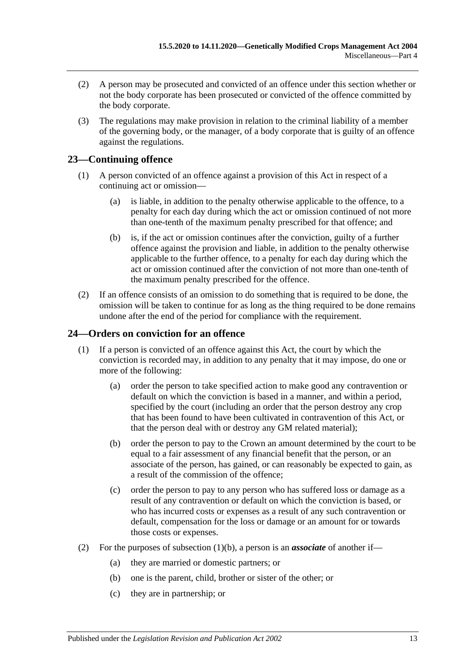- (2) A person may be prosecuted and convicted of an offence under this section whether or not the body corporate has been prosecuted or convicted of the offence committed by the body corporate.
- (3) The regulations may make provision in relation to the criminal liability of a member of the governing body, or the manager, of a body corporate that is guilty of an offence against the regulations.

## <span id="page-12-0"></span>**23—Continuing offence**

- (1) A person convicted of an offence against a provision of this Act in respect of a continuing act or omission—
	- (a) is liable, in addition to the penalty otherwise applicable to the offence, to a penalty for each day during which the act or omission continued of not more than one-tenth of the maximum penalty prescribed for that offence; and
	- (b) is, if the act or omission continues after the conviction, guilty of a further offence against the provision and liable, in addition to the penalty otherwise applicable to the further offence, to a penalty for each day during which the act or omission continued after the conviction of not more than one-tenth of the maximum penalty prescribed for the offence.
- (2) If an offence consists of an omission to do something that is required to be done, the omission will be taken to continue for as long as the thing required to be done remains undone after the end of the period for compliance with the requirement.

### <span id="page-12-1"></span>**24—Orders on conviction for an offence**

- <span id="page-12-2"></span>(1) If a person is convicted of an offence against this Act, the court by which the conviction is recorded may, in addition to any penalty that it may impose, do one or more of the following:
	- (a) order the person to take specified action to make good any contravention or default on which the conviction is based in a manner, and within a period, specified by the court (including an order that the person destroy any crop that has been found to have been cultivated in contravention of this Act, or that the person deal with or destroy any GM related material);
	- (b) order the person to pay to the Crown an amount determined by the court to be equal to a fair assessment of any financial benefit that the person, or an associate of the person, has gained, or can reasonably be expected to gain, as a result of the commission of the offence;
	- (c) order the person to pay to any person who has suffered loss or damage as a result of any contravention or default on which the conviction is based, or who has incurred costs or expenses as a result of any such contravention or default, compensation for the loss or damage or an amount for or towards those costs or expenses.
- (2) For the purposes of [subsection](#page-12-2) (1)(b), a person is an *associate* of another if—
	- (a) they are married or domestic partners; or
	- (b) one is the parent, child, brother or sister of the other; or
	- (c) they are in partnership; or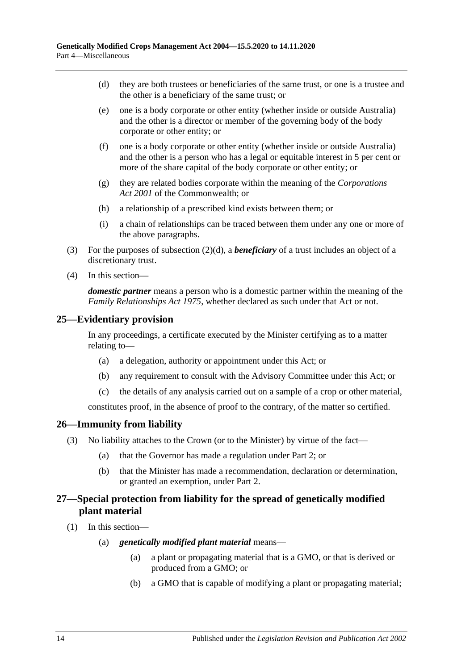- <span id="page-13-3"></span>(d) they are both trustees or beneficiaries of the same trust, or one is a trustee and the other is a beneficiary of the same trust; or
- (e) one is a body corporate or other entity (whether inside or outside Australia) and the other is a director or member of the governing body of the body corporate or other entity; or
- (f) one is a body corporate or other entity (whether inside or outside Australia) and the other is a person who has a legal or equitable interest in 5 per cent or more of the share capital of the body corporate or other entity; or
- (g) they are related bodies corporate within the meaning of the *Corporations Act 2001* of the Commonwealth; or
- (h) a relationship of a prescribed kind exists between them; or
- (i) a chain of relationships can be traced between them under any one or more of the above paragraphs.
- (3) For the purposes of [subsection](#page-13-3) (2)(d), a *beneficiary* of a trust includes an object of a discretionary trust.
- (4) In this section—

*domestic partner* means a person who is a domestic partner within the meaning of the *[Family Relationships Act](http://www.legislation.sa.gov.au/index.aspx?action=legref&type=act&legtitle=Family%20Relationships%20Act%201975) 1975*, whether declared as such under that Act or not.

### <span id="page-13-0"></span>**25—Evidentiary provision**

In any proceedings, a certificate executed by the Minister certifying as to a matter relating to—

- (a) a delegation, authority or appointment under this Act; or
- (b) any requirement to consult with the Advisory Committee under this Act; or
- (c) the details of any analysis carried out on a sample of a crop or other material,

constitutes proof, in the absence of proof to the contrary, of the matter so certified.

### <span id="page-13-1"></span>**26—Immunity from liability**

- (3) No liability attaches to the Crown (or to the Minister) by virtue of the fact—
	- (a) that the Governor has made a regulation under [Part 2;](#page-3-1) or
	- (b) that the Minister has made a recommendation, declaration or determination, or granted an exemption, under [Part 2.](#page-3-1)

### <span id="page-13-2"></span>**27—Special protection from liability for the spread of genetically modified plant material**

- (1) In this section—
	- (a) *genetically modified plant material* means—
		- (a) a plant or propagating material that is a GMO, or that is derived or produced from a GMO; or
		- (b) a GMO that is capable of modifying a plant or propagating material;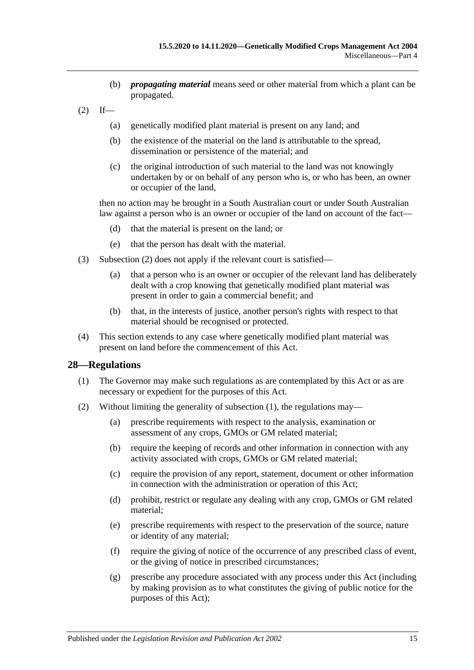- (b) *propagating material* means seed or other material from which a plant can be propagated.
- <span id="page-14-1"></span> $(2)$  If—
	- (a) genetically modified plant material is present on any land; and
	- (b) the existence of the material on the land is attributable to the spread, dissemination or persistence of the material; and
	- (c) the original introduction of such material to the land was not knowingly undertaken by or on behalf of any person who is, or who has been, an owner or occupier of the land,

then no action may be brought in a South Australian court or under South Australian law against a person who is an owner or occupier of the land on account of the fact—

- (d) that the material is present on the land; or
- (e) that the person has dealt with the material.
- (3) [Subsection](#page-14-1) (2) does not apply if the relevant court is satisfied—
	- (a) that a person who is an owner or occupier of the relevant land has deliberately dealt with a crop knowing that genetically modified plant material was present in order to gain a commercial benefit; and
	- (b) that, in the interests of justice, another person's rights with respect to that material should be recognised or protected.
- (4) This section extends to any case where genetically modified plant material was present on land before the commencement of this Act.

#### <span id="page-14-2"></span><span id="page-14-0"></span>**28—Regulations**

- (1) The Governor may make such regulations as are contemplated by this Act or as are necessary or expedient for the purposes of this Act.
- (2) Without limiting the generality of [subsection](#page-14-2) (1), the regulations may—
	- (a) prescribe requirements with respect to the analysis, examination or assessment of any crops, GMOs or GM related material;
	- (b) require the keeping of records and other information in connection with any activity associated with crops, GMOs or GM related material;
	- (c) require the provision of any report, statement, document or other information in connection with the administration or operation of this Act;
	- (d) prohibit, restrict or regulate any dealing with any crop, GMOs or GM related material;
	- (e) prescribe requirements with respect to the preservation of the source, nature or identity of any material;
	- (f) require the giving of notice of the occurrence of any prescribed class of event, or the giving of notice in prescribed circumstances;
	- (g) prescribe any procedure associated with any process under this Act (including by making provision as to what constitutes the giving of public notice for the purposes of this Act);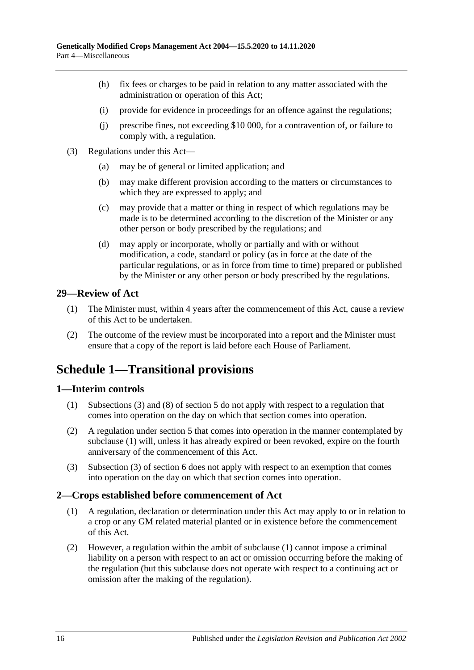- (h) fix fees or charges to be paid in relation to any matter associated with the administration or operation of this Act;
- (i) provide for evidence in proceedings for an offence against the regulations;
- (j) prescribe fines, not exceeding \$10 000, for a contravention of, or failure to comply with, a regulation.
- (3) Regulations under this Act—
	- (a) may be of general or limited application; and
	- (b) may make different provision according to the matters or circumstances to which they are expressed to apply; and
	- (c) may provide that a matter or thing in respect of which regulations may be made is to be determined according to the discretion of the Minister or any other person or body prescribed by the regulations; and
	- (d) may apply or incorporate, wholly or partially and with or without modification, a code, standard or policy (as in force at the date of the particular regulations, or as in force from time to time) prepared or published by the Minister or any other person or body prescribed by the regulations.

### <span id="page-15-0"></span>**29—Review of Act**

- (1) The Minister must, within 4 years after the commencement of this Act, cause a review of this Act to be undertaken.
- (2) The outcome of the review must be incorporated into a report and the Minister must ensure that a copy of the report is laid before each House of Parliament.

# <span id="page-15-1"></span>**Schedule 1—Transitional provisions**

### <span id="page-15-4"></span><span id="page-15-2"></span>**1—Interim controls**

- (1) [Subsections](#page-3-8) (3) and (8) of [section](#page-3-2) 5 do not apply with respect to a regulation that comes into operation on the day on which that section comes into operation.
- (2) A regulation under [section](#page-3-2) 5 that comes into operation in the manner contemplated by [subclause](#page-15-4) (1) will, unless it has already expired or been revoked, expire on the fourth anniversary of the commencement of this Act.
- (3) Subsection (3) of section 6 does not apply with respect to an exemption that comes into operation on the day on which that section comes into operation.

### <span id="page-15-5"></span><span id="page-15-3"></span>**2—Crops established before commencement of Act**

- (1) A regulation, declaration or determination under this Act may apply to or in relation to a crop or any GM related material planted or in existence before the commencement of this Act.
- (2) However, a regulation within the ambit of [subclause](#page-15-5) (1) cannot impose a criminal liability on a person with respect to an act or omission occurring before the making of the regulation (but this subclause does not operate with respect to a continuing act or omission after the making of the regulation).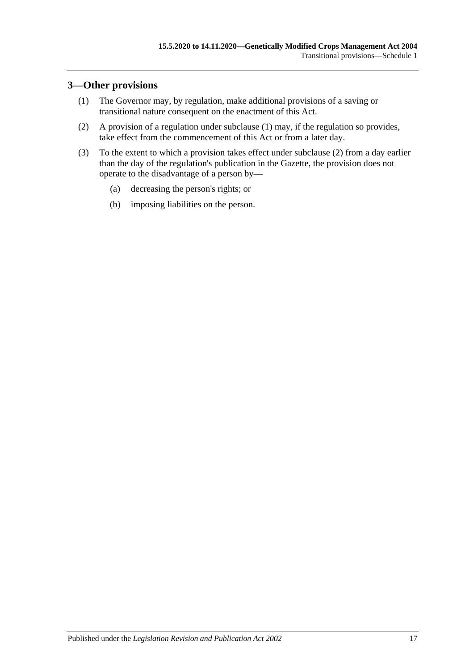### <span id="page-16-1"></span><span id="page-16-0"></span>**3—Other provisions**

- (1) The Governor may, by regulation, make additional provisions of a saving or transitional nature consequent on the enactment of this Act.
- <span id="page-16-2"></span>(2) A provision of a regulation under [subclause](#page-16-1) (1) may, if the regulation so provides, take effect from the commencement of this Act or from a later day.
- (3) To the extent to which a provision takes effect under [subclause](#page-16-2) (2) from a day earlier than the day of the regulation's publication in the Gazette, the provision does not operate to the disadvantage of a person by—
	- (a) decreasing the person's rights; or
	- (b) imposing liabilities on the person.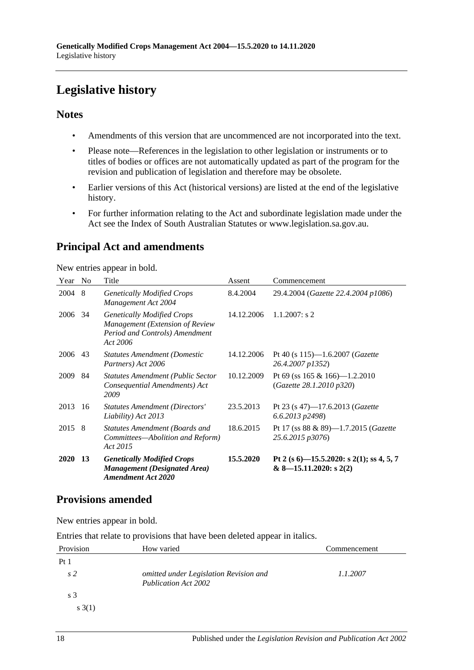# <span id="page-17-0"></span>**Legislative history**

### **Notes**

- Amendments of this version that are uncommenced are not incorporated into the text.
- Please note—References in the legislation to other legislation or instruments or to titles of bodies or offices are not automatically updated as part of the program for the revision and publication of legislation and therefore may be obsolete.
- Earlier versions of this Act (historical versions) are listed at the end of the legislative history.
- For further information relating to the Act and subordinate legislation made under the Act see the Index of South Australian Statutes or www.legislation.sa.gov.au.

# **Principal Act and amendments**

New entries appear in bold.

| Year        | N <sub>0</sub> | Title                                                                                                              | Assent     | Commencement                                                            |
|-------------|----------------|--------------------------------------------------------------------------------------------------------------------|------------|-------------------------------------------------------------------------|
| 2004        | 8              | <b>Genetically Modified Crops</b><br>Management Act 2004                                                           | 8.4.2004   | 29.4.2004 (Gazette 22.4.2004 p1086)                                     |
| 2006        | 34             | <b>Genetically Modified Crops</b><br>Management (Extension of Review<br>Period and Controls) Amendment<br>Act 2006 | 14.12.2006 | $1.1.2007$ : s 2                                                        |
| 2006        | 43             | <b>Statutes Amendment (Domestic</b><br>Partners) Act 2006                                                          | 14.12.2006 | Pt 40 (s $115$ )—1.6.2007 ( <i>Gazette</i><br>26.4.2007 p1352)          |
| 2009        | 84             | <b>Statutes Amendment (Public Sector</b><br>Consequential Amendments) Act<br>2009                                  | 10.12.2009 | Pt 69 (ss $165 \& 166$ )— $1.2.2010$<br>(Gazette 28.1.2010 p320)        |
| 2013        | 16             | <b>Statutes Amendment (Directors'</b><br>Liability) Act 2013                                                       | 23.5.2013  | Pt 23 (s 47)-17.6.2013 ( <i>Gazette</i><br>$6.6.2013$ $p2498$           |
| 2015        | -8             | <b>Statutes Amendment (Boards and</b><br>Committees—Abolition and Reform)<br>Act 2015                              | 18.6.2015  | Pt 17 (ss $88 \& 89$ )—1.7.2015 ( <i>Gazette</i><br>25.6.2015 p3076)    |
| <b>2020</b> | 13             | <b>Genetically Modified Crops</b><br><b>Management</b> (Designated Area)<br><b>Amendment Act 2020</b>              | 15.5.2020  | Pt 2 (s 6)-15.5.2020: s 2(1); ss 4, 5, 7<br>$& 8 - 15.11.2020$ : s 2(2) |

# **Provisions amended**

New entries appear in bold.

Entries that relate to provisions that have been deleted appear in italics.

| Provision      | How varied                                                            | Commencement |
|----------------|-----------------------------------------------------------------------|--------------|
| Pt1            |                                                                       |              |
| s <sub>2</sub> | omitted under Legislation Revision and<br><b>Publication Act 2002</b> | 1.1.2007     |
| s <sub>3</sub> |                                                                       |              |
| s(3(1))        |                                                                       |              |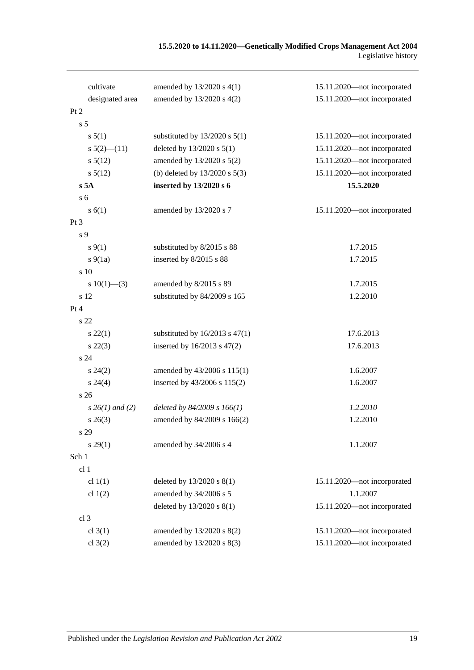#### **15.5.2020 to 14.11.2020—Genetically Modified Crops Management Act 2004** Legislative history

| cultivate            | amended by 13/2020 s 4(1)          | 15.11.2020—not incorporated |
|----------------------|------------------------------------|-----------------------------|
| designated area      | amended by 13/2020 s 4(2)          | 15.11.2020-not incorporated |
| Pt <sub>2</sub>      |                                    |                             |
| s <sub>5</sub>       |                                    |                             |
| s 5(1)               | substituted by $13/2020$ s $5(1)$  | 15.11.2020-not incorporated |
| $s\ 5(2)$ (11)       | deleted by 13/2020 s 5(1)          | 15.11.2020-not incorporated |
| $s\,5(12)$           | amended by 13/2020 s 5(2)          | 15.11.2020-not incorporated |
| $s\,5(12)$           | (b) deleted by $13/2020$ s $5(3)$  | 15.11.2020-not incorporated |
| s 5A                 | inserted by 13/2020 s 6            | 15.5.2020                   |
| s <sub>6</sub>       |                                    |                             |
| s(6(1))              | amended by 13/2020 s 7             | 15.11.2020-not incorporated |
| Pt <sub>3</sub>      |                                    |                             |
| s 9                  |                                    |                             |
| $s \, 9(1)$          | substituted by 8/2015 s 88         | 1.7.2015                    |
| $s\ 9(1a)$           | inserted by 8/2015 s 88            | 1.7.2015                    |
| s 10                 |                                    |                             |
| s $10(1)$ —(3)       | amended by 8/2015 s 89             | 1.7.2015                    |
| s 12                 | substituted by 84/2009 s 165       | 1.2.2010                    |
| Pt 4                 |                                    |                             |
| s 22                 |                                    |                             |
| $s\,22(1)$           | substituted by $16/2013$ s $47(1)$ | 17.6.2013                   |
| $s\,22(3)$           | inserted by 16/2013 s 47(2)        | 17.6.2013                   |
| s <sub>24</sub>      |                                    |                             |
| $s\,24(2)$           | amended by 43/2006 s 115(1)        | 1.6.2007                    |
| $s\,24(4)$           | inserted by 43/2006 s 115(2)       | 1.6.2007                    |
| s <sub>26</sub>      |                                    |                             |
| $s \, 26(1)$ and (2) | deleted by 84/2009 s 166(1)        | 1.2.2010                    |
| $s \; 26(3)$         | amended by 84/2009 s 166(2)        | 1.2.2010                    |
| s 29                 |                                    |                             |
| $s\,29(1)$           | amended by 34/2006 s 4             | 1.1.2007                    |
| Sch 1                |                                    |                             |
| cl 1                 |                                    |                             |
| cl $1(1)$            | deleted by $13/2020$ s $8(1)$      | 15.11.2020-not incorporated |
| cl $1(2)$            | amended by 34/2006 s 5             | 1.1.2007                    |
|                      | deleted by 13/2020 s 8(1)          | 15.11.2020-not incorporated |
| cl <sub>3</sub>      |                                    |                             |
| cl $3(1)$            | amended by 13/2020 s 8(2)          | 15.11.2020-not incorporated |
| cl $3(2)$            | amended by 13/2020 s 8(3)          | 15.11.2020-not incorporated |